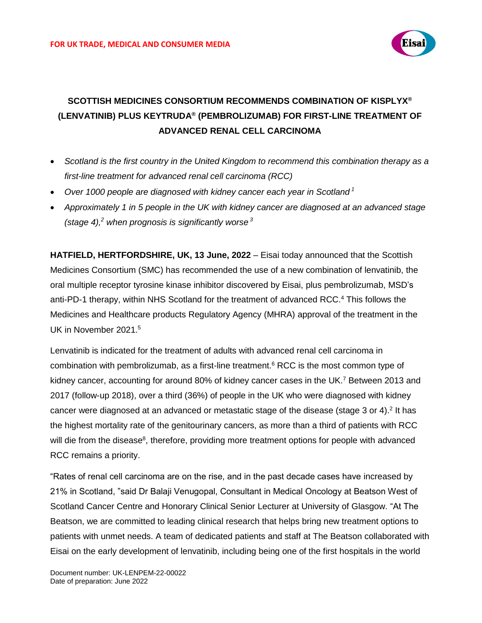

# **SCOTTISH MEDICINES CONSORTIUM RECOMMENDS COMBINATION OF KISPLYX® (LENVATINIB) PLUS KEYTRUDA® (PEMBROLIZUMAB) FOR FIRST-LINE TREATMENT OF ADVANCED RENAL CELL CARCINOMA**

- *Scotland is the first country in the United Kingdom to recommend this combination therapy as a first-line treatment for advanced renal cell carcinoma (RCC)*
- *Over 1000 people are diagnosed with kidney cancer each year in Scotland <sup>1</sup>*
- <span id="page-0-0"></span>• *Approximately 1 in 5 people in the UK with kidney cancer are diagnosed at an advanced stage (stage 4), <sup>2</sup> when prognosis is significantly worse <sup>3</sup>*

**HATFIELD, HERTFORDSHIRE, UK, 13 June, 2022** – Eisai today announced that the Scottish Medicines Consortium (SMC) has recommended the use of a new combination of lenvatinib, the oral multiple receptor tyrosine kinase inhibitor discovered by Eisai, plus pembrolizumab, MSD's anti-PD-1 therapy, within NHS Scotland for the treatment of advanced RCC. <sup>4</sup> This follows the Medicines and Healthcare products Regulatory Agency (MHRA) approval of the treatment in the UK in November 2021. 5

<span id="page-0-2"></span><span id="page-0-1"></span>Lenvatinib is indicated for the treatment of adults with advanced renal cell carcinoma in combination with pembrolizumab, as a first-line treatment.<sup>6</sup> RCC is the most common type of kidney cancer, accounting for around 80% of kidney cancer cases in the UK.<sup>7</sup> Between 2013 and 2017 (follow-up 2018), over a third (36%) of people in the UK who were diagnosed with kidney cancer were diagnosed at an advanced or metastatic stage of the disease (stage 3 or 4).<sup>[2](#page-0-0)</sup> It has the highest mortality rate of the genitourinary cancers, as more than a third of patients with RCC will die from the disease<sup>8</sup>, therefore, providing more treatment options for people with advanced RCC remains a priority.

"Rates of renal cell carcinoma are on the rise, and in the past decade cases have increased by 21% in Scotland, "said Dr Balaji Venugopal, Consultant in Medical Oncology at Beatson West of Scotland Cancer Centre and Honorary Clinical Senior Lecturer at University of Glasgow. "At The Beatson, we are committed to leading clinical research that helps bring new treatment options to patients with unmet needs. A team of dedicated patients and staff at The Beatson collaborated with Eisai on the early development of lenvatinib, including being one of the first hospitals in the world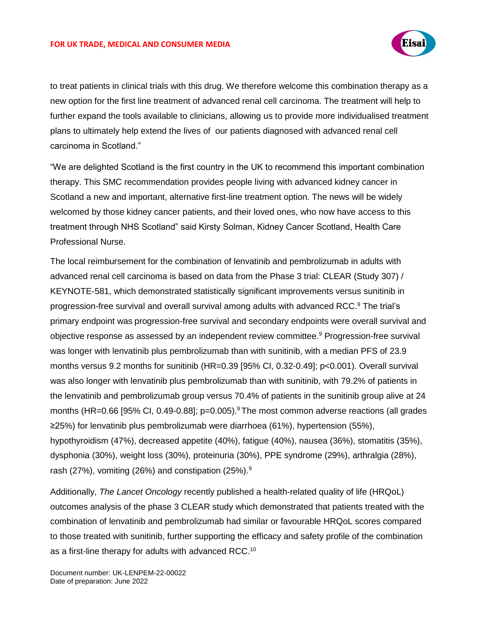#### **FOR UK TRADE, MEDICAL AND CONSUMER MEDIA**

<span id="page-1-0"></span>

to treat patients in clinical trials with this drug. We therefore welcome this combination therapy as a new option for the first line treatment of advanced renal cell carcinoma. The treatment will help to further expand the tools available to clinicians, allowing us to provide more individualised treatment plans to ultimately help extend the lives of our patients diagnosed with advanced renal cell carcinoma in Scotland."

"We are delighted Scotland is the first country in the UK to recommend this important combination therapy. This SMC recommendation provides people living with advanced kidney cancer in Scotland a new and important, alternative first-line treatment option. The news will be widely welcomed by those kidney cancer patients, and their loved ones, who now have access to this treatment through NHS Scotland" said Kirsty Solman, Kidney Cancer Scotland, Health Care Professional Nurse.

The local reimbursement for the combination of lenvatinib and pembrolizumab in adults with advanced renal cell carcinoma is based on data from the Phase 3 trial: CLEAR (Study 307) / KEYNOTE-581, which demonstrated statistically significant improvements versus sunitinib in progression-free survival and overall survival among adults with advanced RCC.<sup>9</sup> The trial's primary endpoint was progression-free survival and secondary endpoints were overall survival and objective response as assessed by an independent review committee.<sup>9</sup> Progression-free survival was longer with lenvatinib plus pembrolizumab than with sunitinib, with a median PFS of 23.9 months versus 9.2 months for sunitinib (HR=0.39 [95% CI, 0.32-0.49]; p<0.001). Overall survival was also longer with lenvatinib plus pembrolizumab than with sunitinib, with 79.2% of patients in the lenvatinib and pembrolizumab group versus 70.4% of patients in the sunitinib group alive at 24 months (HR=0.66 [[9](#page-1-0)5% CI, 0.49-0.88]; p=0.005).<sup>9</sup> The most common adverse reactions (all grades ≥25%) for lenvatinib plus pembrolizumab were diarrhoea (61%), hypertension (55%), hypothyroidism (47%), decreased appetite (40%), fatigue (40%), nausea (36%), stomatitis (35%), dysphonia (30%), weight loss (30%), proteinuria (30%), PPE syndrome (29%), arthralgia (28%), rash (27%), vomiting (26%) and constipation (25%).<sup>9</sup>

Additionally, *The Lancet Oncology* recently published a health-related quality of life (HRQoL) outcomes analysis of the phase 3 CLEAR study which demonstrated that patients treated with the combination of lenvatinib and pembrolizumab had similar or favourable HRQoL scores compared to those treated with sunitinib, further supporting the efficacy and safety profile of the combination as a first-line therapy for adults with advanced RCC.<sup>10</sup>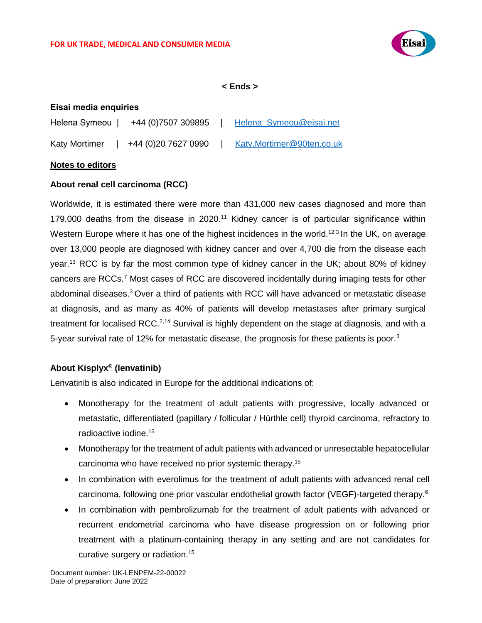

**< Ends >**

# **Eisai media enquiries**

| Helena Symeou        | +44 (0) 7507 309895 | Helena_Symeou@eisai.net   |
|----------------------|---------------------|---------------------------|
| <b>Katy Mortimer</b> | +44 (0)20 7627 0990 | Katy.Mortimer@90ten.co.uk |

## **Notes to editors**

# **About renal cell carcinoma (RCC)**

Worldwide, it is estimated there were more than 431,000 new cases diagnosed and more than 179,000 deaths from the disease in 2020.<sup>11</sup> Kidney cancer is of particular significance within Western Europe where it has one of the highest incidences in the world.<sup>12,3</sup> In the UK, on average over 13,000 people are diagnosed with kidney cancer and over 4,700 die from the disease each year.<sup>13</sup> RCC is by far the most common type of kidney cancer in the UK; about 80% of kidney cancers are RCCs[.](#page-0-1)<sup>7</sup> Most cases of RCC are discovered incidentally during imaging tests for other abdominal diseases.<sup>3</sup> Over a third of patients with RCC will have advanced or metastatic disease at diagnosis, and as many as 40% of patients will develop metastases after primary surgical treatment for localised RCC.<sup>2,14</sup> Survival is highly dependent on the stage at diagnosis, and with a 5-year survival rate of 12% for metastatic disease, the prognosis for these patients is poor.<sup>3</sup>

# **About Kisplyx® (lenvatinib)**

Lenvatinib is also indicated in Europe for the additional indications of:

- Monotherapy for the treatment of adult patients with progressive, locally advanced or metastatic, differentiated (papillary / follicular / Hürthle cell) thyroid carcinoma, refractory to radioactive iodine. 15
- <span id="page-2-0"></span>• Monotherapy for the treatment of adult patients with advanced or unresectable hepatocellular carcinoma who have received no prior systemic therapy. [15](#page-2-0)
- In combination with everolimus for the treatment of adult patients with advanced renal cell carcinoma, following one prior vascular endothelial growth factor (VEGF)-targeted therapy.<sup>[6](#page-0-2)</sup>
- In combination with pembrolizumab for the treatment of adult patients with advanced or recurrent endometrial carcinoma who have disease progression on or following prior treatment with a platinum-containing therapy in any setting and are not candidates for curative surgery or radiation.<sup>[15](#page-2-0)</sup>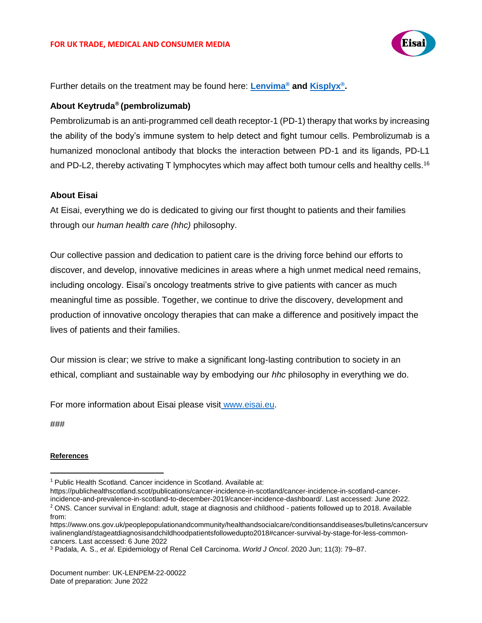

Further details on the treatment may be found here: **[Lenvima](https://www.medicines.org.uk/emc/product/6840/smpc)® and [Kisplyx](https://www.medicines.org.uk/emc/product/7380/smpc)® .**

# **About Keytruda® (pembrolizumab)**

Pembrolizumab is an anti-programmed cell death receptor-1 (PD-1) therapy that works by increasing the ability of the body's immune system to help detect and fight tumour cells. Pembrolizumab is a humanized monoclonal antibody that blocks the interaction between PD-1 and its ligands, PD-L1 and PD-L2, thereby activating T lymphocytes which may affect both tumour cells and healthy cells.<sup>16</sup>

## **About Eisai**

At Eisai, everything we do is dedicated to giving our first thought to patients and their families through our *human health care (hhc)* philosophy.

Our collective passion and dedication to patient care is the driving force behind our efforts to discover, and develop, innovative medicines in areas where a high unmet medical need remains, including oncology. Eisai's oncology treatments strive to give patients with cancer as much meaningful time as possible. Together, we continue to drive the discovery, development and production of innovative oncology therapies that can make a difference and positively impact the lives of patients and their families.

Our mission is clear; we strive to make a significant long-lasting contribution to society in an ethical, compliant and sustainable way by embodying our *hhc* philosophy in everything we do.

For more information about Eisai please visit www.eisai.eu.

###

 $\overline{a}$ 

#### **References**

https://publichealthscotland.scot/publications/cancer-incidence-in-scotland/cancer-incidence-in-scotland-cancerincidence-and-prevalence-in-scotland-to-december-2019/cancer-incidence-dashboard/. Last accessed: June 2022. <sup>2</sup> ONS. Cancer survival in England: adult, stage at diagnosis and childhood - patients followed up to 2018. Available from:

https://www.ons.gov.uk/peoplepopulationandcommunity/healthandsocialcare/conditionsanddiseases/bulletins/cancersurv ivalinengland/stageatdiagnosisandchildhoodpatientsfollowedupto2018#cancer-survival-by-stage-for-less-commoncancers. Last accessed: 6 June 2022

<sup>&</sup>lt;sup>1</sup> Public Health Scotland. Cancer incidence in Scotland. Available at:

<sup>3</sup> Padala, A. S., *et al*. Epidemiology of Renal Cell Carcinoma. *World J Oncol*. 2020 Jun; 11(3): 79–87.